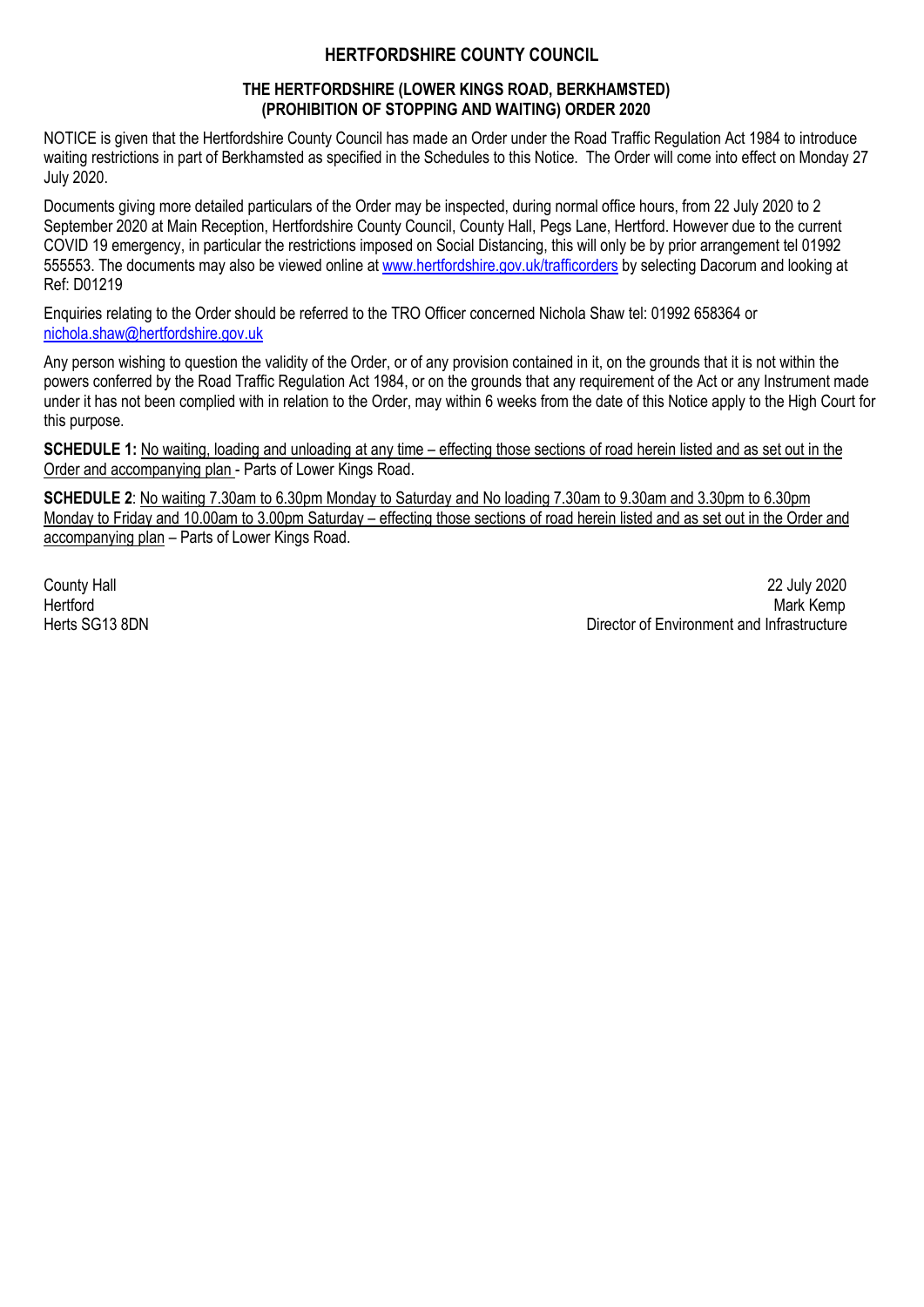#### **HERTFORDSHIRE COUNTY COUNCIL**

#### **THE HERTFORDSHIRE (LOWER KINGS ROAD, BERKHAMSTED) (PROHIBITION OF STOPPING AND WAITING) ORDER 2020**

NOTICE is given that the Hertfordshire County Council has made an Order under the Road Traffic Regulation Act 1984 to introduce waiting restrictions in part of Berkhamsted as specified in the Schedules to this Notice. The Order will come into effect on Monday 27 July 2020.

Documents giving more detailed particulars of the Order may be inspected, during normal office hours, from 22 July 2020 to 2 September 2020 at Main Reception, Hertfordshire County Council, County Hall, Pegs Lane, Hertford. However due to the current COVID 19 emergency, in particular the restrictions imposed on Social Distancing, this will only be by prior arrangement tel 01992 555553. The documents may also be viewed online at www.hertfordshire.gov.uk/trafficorders by selecting Dacorum and looking at Ref: D01219

Enquiries relating to the Order should be referred to the TRO Officer concerned Nichola Shaw tel: 01992 658364 or nichola.shaw@hertfordshire.gov.uk

Any person wishing to question the validity of the Order, or of any provision contained in it, on the grounds that it is not within the powers conferred by the Road Traffic Regulation Act 1984, or on the grounds that any requirement of the Act or any Instrument made under it has not been complied with in relation to the Order, may within 6 weeks from the date of this Notice apply to the High Court for this purpose.

**SCHEDULE 1:** No waiting, loading and unloading at any time – effecting those sections of road herein listed and as set out in the Order and accompanying plan - Parts of Lower Kings Road.

**SCHEDULE 2**: No waiting 7.30am to 6.30pm Monday to Saturday and No loading 7.30am to 9.30am and 3.30pm to 6.30pm Monday to Friday and 10.00am to 3.00pm Saturday – effecting those sections of road herein listed and as set out in the Order and accompanying plan – Parts of Lower Kings Road.

County Hall 22 July 2020 Hertford Mark Kemp Herts SG13 8DN Director of Environment and Infrastructure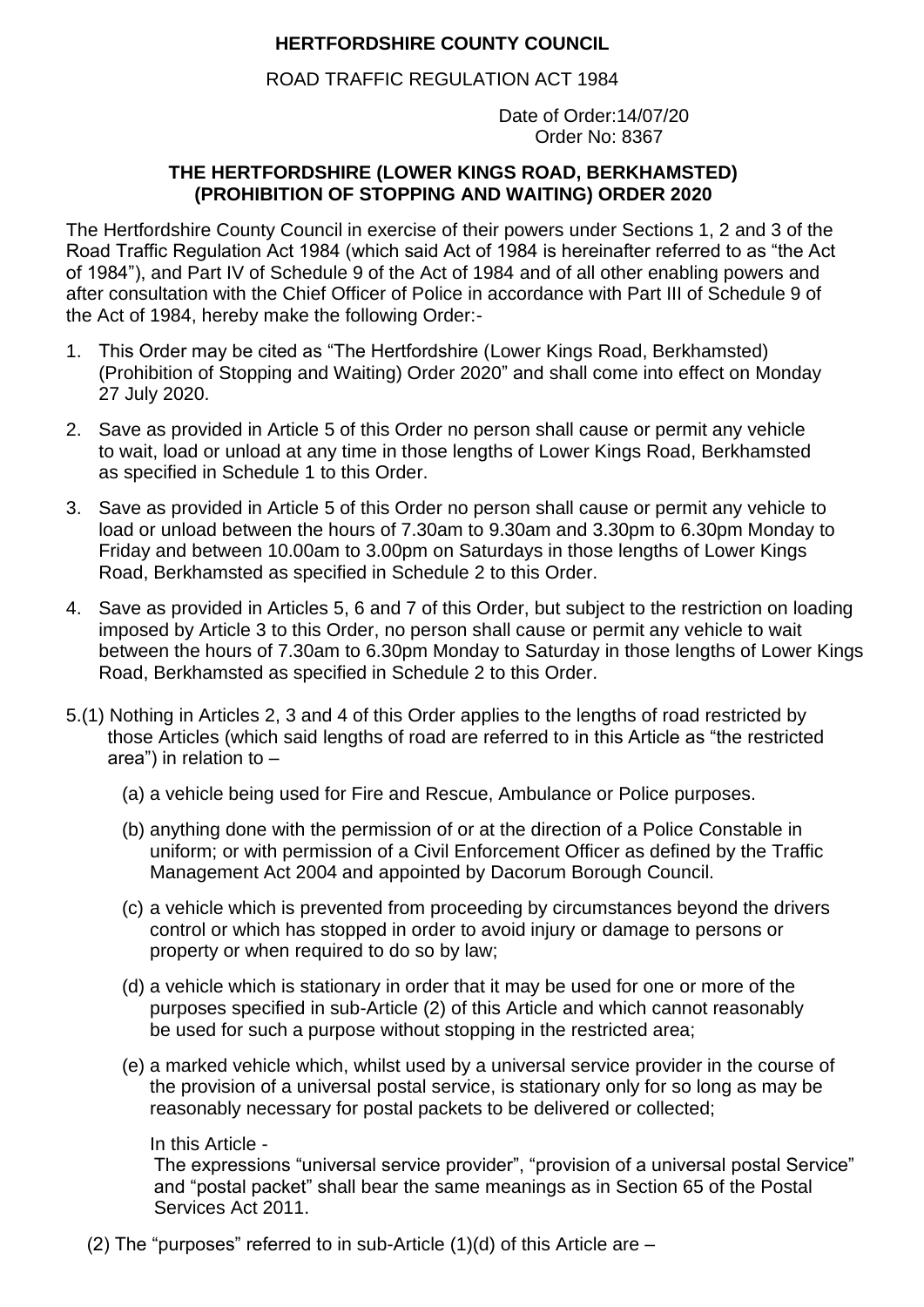# **HERTFORDSHIRE COUNTY COUNCIL**

ROAD TRAFFIC REGULATION ACT 1984

 Date of Order:14/07/20 Order No: 8367

# **THE HERTFORDSHIRE (LOWER KINGS ROAD, BERKHAMSTED) (PROHIBITION OF STOPPING AND WAITING) ORDER 2020**

The Hertfordshire County Council in exercise of their powers under Sections 1, 2 and 3 of the Road Traffic Regulation Act 1984 (which said Act of 1984 is hereinafter referred to as "the Act of 1984"), and Part IV of Schedule 9 of the Act of 1984 and of all other enabling powers and after consultation with the Chief Officer of Police in accordance with Part III of Schedule 9 of the Act of 1984, hereby make the following Order:-

- 1. This Order may be cited as "The Hertfordshire (Lower Kings Road, Berkhamsted) (Prohibition of Stopping and Waiting) Order 2020" and shall come into effect on Monday 27 July 2020.
- 2. Save as provided in Article 5 of this Order no person shall cause or permit any vehicle to wait, load or unload at any time in those lengths of Lower Kings Road, Berkhamsted as specified in Schedule 1 to this Order.
- 3. Save as provided in Article 5 of this Order no person shall cause or permit any vehicle to load or unload between the hours of 7.30am to 9.30am and 3.30pm to 6.30pm Monday to Friday and between 10.00am to 3.00pm on Saturdays in those lengths of Lower Kings Road, Berkhamsted as specified in Schedule 2 to this Order.
- 4. Save as provided in Articles 5, 6 and 7 of this Order, but subject to the restriction on loading imposed by Article 3 to this Order, no person shall cause or permit any vehicle to wait between the hours of 7.30am to 6.30pm Monday to Saturday in those lengths of Lower Kings Road, Berkhamsted as specified in Schedule 2 to this Order.
- 5.(1) Nothing in Articles 2, 3 and 4 of this Order applies to the lengths of road restricted by those Articles (which said lengths of road are referred to in this Article as "the restricted area") in relation to –
	- (a) a vehicle being used for Fire and Rescue, Ambulance or Police purposes.
	- (b) anything done with the permission of or at the direction of a Police Constable in uniform; or with permission of a Civil Enforcement Officer as defined by the Traffic Management Act 2004 and appointed by Dacorum Borough Council.
	- (c) a vehicle which is prevented from proceeding by circumstances beyond the drivers control or which has stopped in order to avoid injury or damage to persons or property or when required to do so by law;
	- (d) a vehicle which is stationary in order that it may be used for one or more of the purposes specified in sub-Article (2) of this Article and which cannot reasonably be used for such a purpose without stopping in the restricted area;
	- (e) a marked vehicle which, whilst used by a universal service provider in the course of the provision of a universal postal service, is stationary only for so long as may be reasonably necessary for postal packets to be delivered or collected;

### In this Article -

The expressions "universal service provider", "provision of a universal postal Service" and "postal packet" shall bear the same meanings as in Section 65 of the Postal Services Act 2011.

(2) The "purposes" referred to in sub-Article  $(1)(d)$  of this Article are  $-$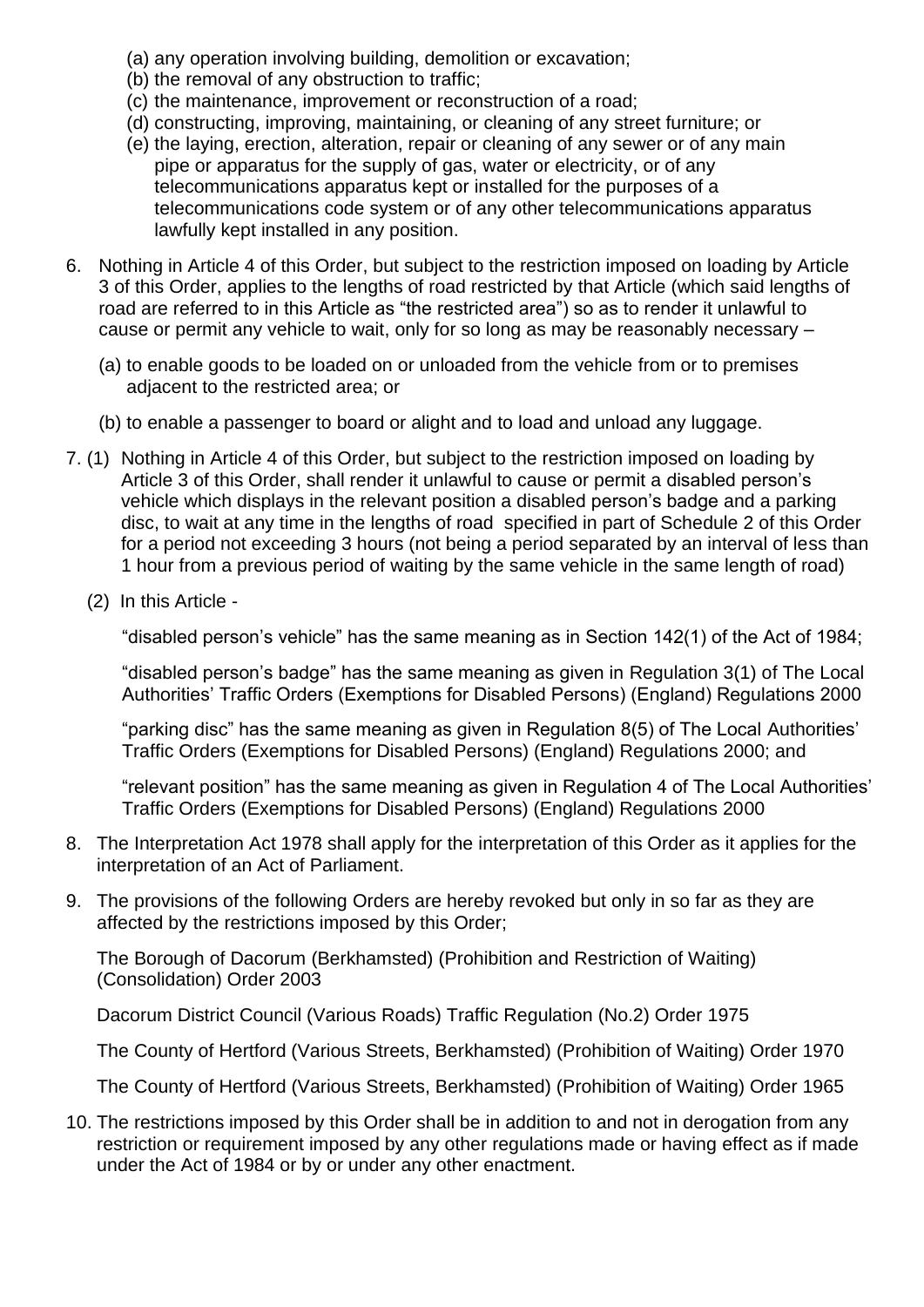- (a) any operation involving building, demolition or excavation;
- (b) the removal of any obstruction to traffic;
- (c) the maintenance, improvement or reconstruction of a road;
- (d) constructing, improving, maintaining, or cleaning of any street furniture; or
- (e) the laying, erection, alteration, repair or cleaning of any sewer or of any main pipe or apparatus for the supply of gas, water or electricity, or of any telecommunications apparatus kept or installed for the purposes of a telecommunications code system or of any other telecommunications apparatus lawfully kept installed in any position.
- 6. Nothing in Article 4 of this Order, but subject to the restriction imposed on loading by Article 3 of this Order, applies to the lengths of road restricted by that Article (which said lengths of road are referred to in this Article as "the restricted area") so as to render it unlawful to cause or permit any vehicle to wait, only for so long as may be reasonably necessary –
	- (a) to enable goods to be loaded on or unloaded from the vehicle from or to premises adjacent to the restricted area; or
	- (b) to enable a passenger to board or alight and to load and unload any luggage.
- 7. (1) Nothing in Article 4 of this Order, but subject to the restriction imposed on loading by Article 3 of this Order, shall render it unlawful to cause or permit a disabled person's vehicle which displays in the relevant position a disabled person's badge and a parking disc, to wait at any time in the lengths of road specified in part of Schedule 2 of this Order for a period not exceeding 3 hours (not being a period separated by an interval of less than 1 hour from a previous period of waiting by the same vehicle in the same length of road)
	- (2) In this Article -

"disabled person's vehicle" has the same meaning as in Section 142(1) of the Act of 1984;

"disabled person's badge" has the same meaning as given in Regulation 3(1) of The Local Authorities' Traffic Orders (Exemptions for Disabled Persons) (England) Regulations 2000

"parking disc" has the same meaning as given in Regulation 8(5) of The Local Authorities' Traffic Orders (Exemptions for Disabled Persons) (England) Regulations 2000; and

"relevant position" has the same meaning as given in Regulation 4 of The Local Authorities' Traffic Orders (Exemptions for Disabled Persons) (England) Regulations 2000

- 8. The Interpretation Act 1978 shall apply for the interpretation of this Order as it applies for the interpretation of an Act of Parliament.
- 9. The provisions of the following Orders are hereby revoked but only in so far as they are affected by the restrictions imposed by this Order;

The Borough of Dacorum (Berkhamsted) (Prohibition and Restriction of Waiting) (Consolidation) Order 2003

Dacorum District Council (Various Roads) Traffic Regulation (No.2) Order 1975

The County of Hertford (Various Streets, Berkhamsted) (Prohibition of Waiting) Order 1970

The County of Hertford (Various Streets, Berkhamsted) (Prohibition of Waiting) Order 1965

10. The restrictions imposed by this Order shall be in addition to and not in derogation from any restriction or requirement imposed by any other regulations made or having effect as if made under the Act of 1984 or by or under any other enactment.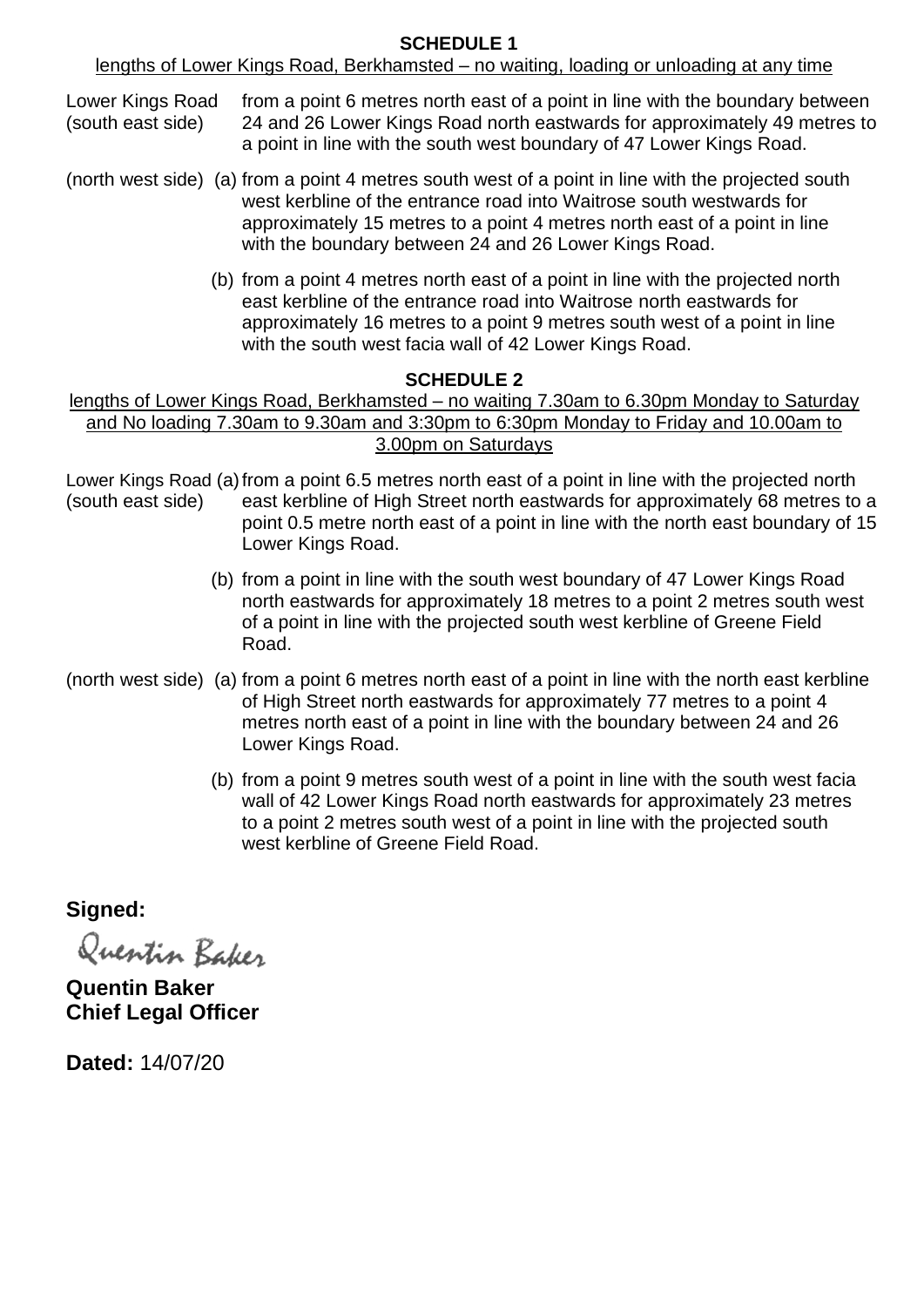### **SCHEDULE 1**

lengths of Lower Kings Road, Berkhamsted – no waiting, loading or unloading at any time

Lower Kings Road from a point 6 metres north east of a point in line with the boundary between (south east side) 24 and 26 Lower Kings Road north eastwards for approximately 49 metres to a point in line with the south west boundary of 47 Lower Kings Road.

- (north west side) (a) from a point 4 metres south west of a point in line with the projected south west kerbline of the entrance road into Waitrose south westwards for approximately 15 metres to a point 4 metres north east of a point in line with the boundary between 24 and 26 Lower Kings Road.
	- (b) from a point 4 metres north east of a point in line with the projected north east kerbline of the entrance road into Waitrose north eastwards for approximately 16 metres to a point 9 metres south west of a point in line with the south west facia wall of 42 Lower Kings Road.

#### **SCHEDULE 2**

### lengths of Lower Kings Road, Berkhamsted – no waiting 7.30am to 6.30pm Monday to Saturday and No loading 7.30am to 9.30am and 3:30pm to 6:30pm Monday to Friday and 10.00am to 3.00pm on Saturdays

Lower Kings Road (a)from a point 6.5 metres north east of a point in line with the projected north (south east side) east kerbline of High Street north eastwards for approximately 68 metres to a point 0.5 metre north east of a point in line with the north east boundary of 15 Lower Kings Road.

- (b) from a point in line with the south west boundary of 47 Lower Kings Road north eastwards for approximately 18 metres to a point 2 metres south west of a point in line with the projected south west kerbline of Greene Field Road.
- (north west side) (a) from a point 6 metres north east of a point in line with the north east kerbline of High Street north eastwards for approximately 77 metres to a point 4 metres north east of a point in line with the boundary between 24 and 26 Lower Kings Road.
	- (b) from a point 9 metres south west of a point in line with the south west facia wall of 42 Lower Kings Road north eastwards for approximately 23 metres to a point 2 metres south west of a point in line with the projected south west kerbline of Greene Field Road.

**Signed:**

Quentin Baker

**Quentin Baker Chief Legal Officer**

**Dated:** 14/07/20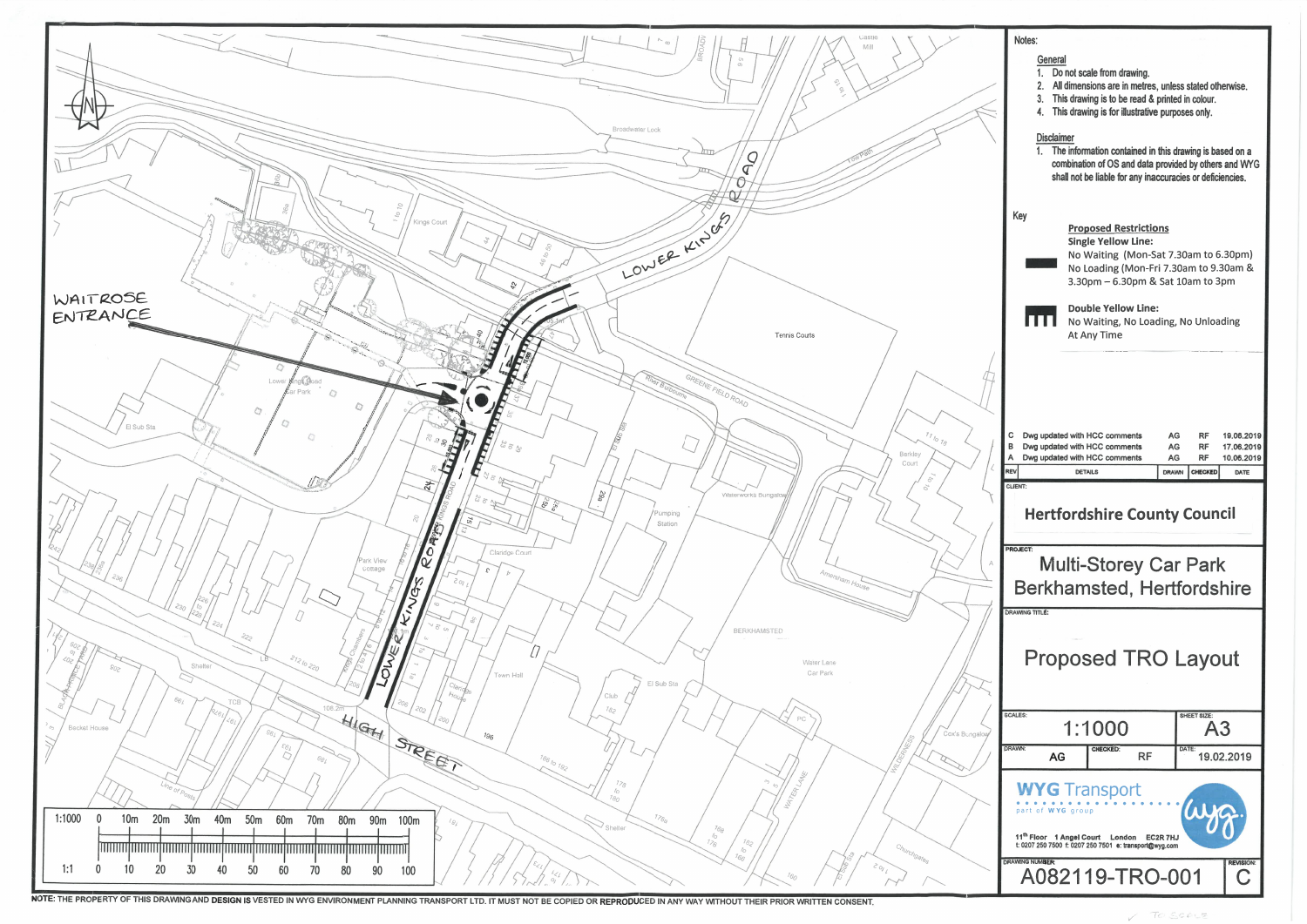

NOTE: THE PROPERTY OF THIS DRAWING AND DESIGN IS VESTED IN WYG ENVIRONMENT PLANNING TRANSPORT LTD. IT MUST NOT BE COPIED OR REPRODUCED IN ANY WAY WITHOUT THEIR PRIOR WRITTEN CONSENT.

| Notes:                                                                                                                                                                                                                                                                                                        |                                    |                                                                                                                    |                 |                   |                                        |
|---------------------------------------------------------------------------------------------------------------------------------------------------------------------------------------------------------------------------------------------------------------------------------------------------------------|------------------------------------|--------------------------------------------------------------------------------------------------------------------|-----------------|-------------------|----------------------------------------|
| General<br>1.<br>Do not scale from drawing.<br>All dimensions are in metres, unless stated otherwise.<br>2.<br>This drawing is to be read & printed in colour.<br>3.<br>This drawing is for illustrative purposes only.<br>4.<br><b>Disclaimer</b><br>The information contained in this drawing is based on a |                                    |                                                                                                                    |                 |                   |                                        |
| $1-$                                                                                                                                                                                                                                                                                                          |                                    | combination of OS and data provided by others and WYG<br>shall not be liable for any inaccuracies or deficiencies. |                 |                   |                                        |
| Key<br><b>Proposed Restrictions</b><br><b>Single Yellow Line:</b><br>No Waiting (Mon-Sat 7.30am to 6.30pm)<br>No Loading (Mon-Fri 7.30am to 9.30am &<br>3.30pm - 6.30pm & Sat 10am to 3pm                                                                                                                     |                                    |                                                                                                                    |                 |                   |                                        |
| <b>Double Yellow Line:</b><br>No Waiting, No Loading, No Unloading<br>At Any Time                                                                                                                                                                                                                             |                                    |                                                                                                                    |                 |                   |                                        |
| с<br>в<br>A                                                                                                                                                                                                                                                                                                   |                                    | Dwg updated with HCC comments<br>Dwg updated with HCC comments<br>Dwg updated with HCC comments                    | AG<br>AG<br>AG  | RF<br>RF<br>RF    | 19.06.2019<br>17.06.2019<br>10.06.2019 |
| REV                                                                                                                                                                                                                                                                                                           |                                    | <b>DETAILS</b>                                                                                                     | <b>DRAWN</b>    | CHECKED           | DATE                                   |
| CLIENT:<br>Hertfordshire County Council                                                                                                                                                                                                                                                                       |                                    |                                                                                                                    |                 |                   |                                        |
|                                                                                                                                                                                                                                                                                                               |                                    |                                                                                                                    |                 |                   |                                        |
| <b>PROJECT:</b>                                                                                                                                                                                                                                                                                               |                                    | <b>Multi-Storey Car Park</b><br>Berkhamsted, Hertfordshire                                                         |                 |                   |                                        |
| <b>DRAWING TITLE:</b>                                                                                                                                                                                                                                                                                         |                                    | <b>Proposed TRO Layout</b>                                                                                         |                 |                   |                                        |
| SCALES:                                                                                                                                                                                                                                                                                                       |                                    | 1:1000                                                                                                             |                 | SHEET SIZE:<br>A3 |                                        |
| <b>IDRAWN:</b>                                                                                                                                                                                                                                                                                                | AG                                 | <b>CHECKED:</b>                                                                                                    | <b>RF</b>       | DATE:             | 19.02.2019                             |
| 11 <sup>th</sup> Floor                                                                                                                                                                                                                                                                                        | part of WYG group<br>1 Angel Court | <b>WYG</b> Transport<br>London<br>t: 0207 250 7500 f: 0207 250 7501 e: transport@wyg.com                           | <b>EC2R 7HJ</b> |                   |                                        |

TOSCOLE

 $\swarrow$